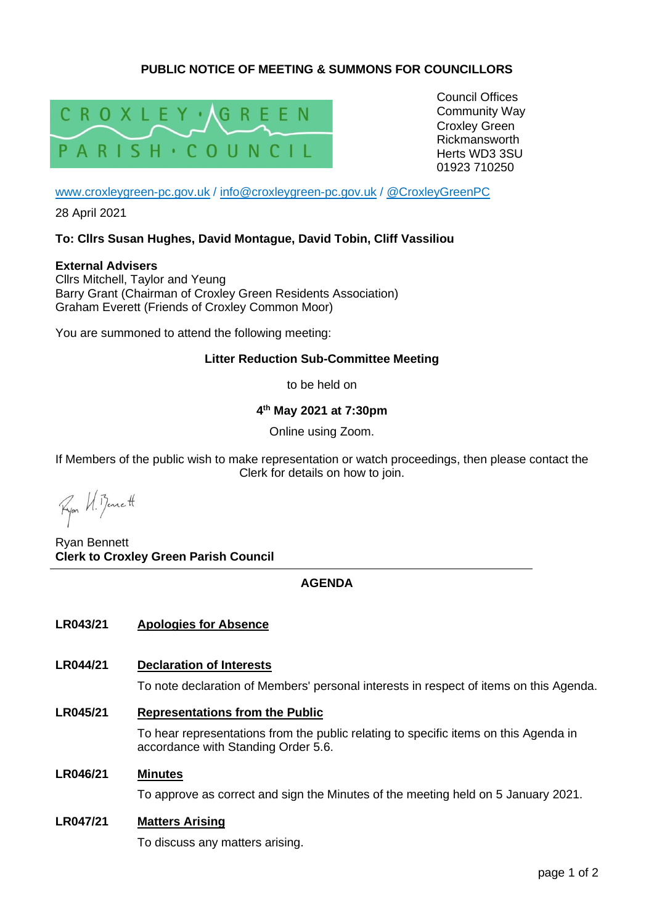# **PUBLIC NOTICE OF MEETING & SUMMONS FOR COUNCILLORS**



Council Offices Community Way Croxley Green Rickmansworth Herts WD3 3SU 01923 710250

[www.croxleygreen-pc.gov.uk](http://www.croxleygreen-pc.gov.uk/) / [info@croxleygreen-pc.gov.uk](mailto:info@croxleygreen-pc.gov.uk) / [@CroxleyGreenPC](https://twitter.com/CroxleyGreenPC)

28 April 2021

## **To: Cllrs Susan Hughes, David Montague, David Tobin, Cliff Vassiliou**

**External Advisers** Cllrs Mitchell, Taylor and Yeung Barry Grant (Chairman of Croxley Green Residents Association) Graham Everett (Friends of Croxley Common Moor)

You are summoned to attend the following meeting:

## **Litter Reduction Sub-Committee Meeting**

to be held on

**4 th May 2021 at 7:30pm**

Online using Zoom.

If Members of the public wish to make representation or watch proceedings, then please contact the Clerk for details on how to join.

Fyon U. Benett

Ryan Bennett **Clerk to Croxley Green Parish Council**

## **AGENDA**

## **LR043/21 Apologies for Absence**

## **LR044/21 Declaration of Interests**

To note declaration of Members' personal interests in respect of items on this Agenda.

**LR045/21 Representations from the Public**

To hear representations from the public relating to specific items on this Agenda in accordance with Standing Order 5.6.

#### **LR046/21 Minutes**

To approve as correct and sign the Minutes of the meeting held on 5 January 2021.

## **LR047/21 Matters Arising**

To discuss any matters arising.